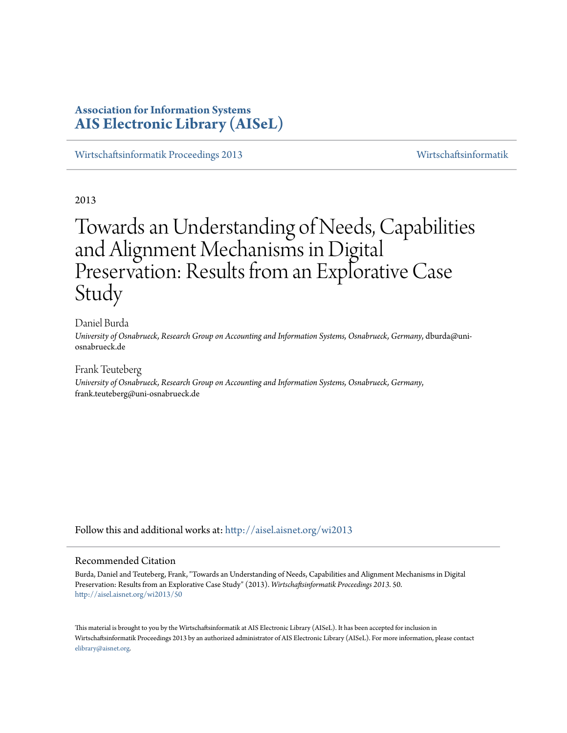# **Association for Information Systems [AIS Electronic Library \(AISeL\)](http://aisel.aisnet.org?utm_source=aisel.aisnet.org%2Fwi2013%2F50&utm_medium=PDF&utm_campaign=PDFCoverPages)**

[Wirtschaftsinformatik Proceedings 2013](http://aisel.aisnet.org/wi2013?utm_source=aisel.aisnet.org%2Fwi2013%2F50&utm_medium=PDF&utm_campaign=PDFCoverPages) [Wirtschaftsinformatik](http://aisel.aisnet.org/wi?utm_source=aisel.aisnet.org%2Fwi2013%2F50&utm_medium=PDF&utm_campaign=PDFCoverPages)

2013

# Towards an Understanding of Needs, Capabilities and Alignment Mechanisms in Digital Preservation: Results from an Explorative Case Study

Daniel Burda *University of Osnabrueck, Research Group on Accounting and Information Systems, Osnabrueck, Germany*, dburda@uniosnabrueck.de

Frank Teuteberg *University of Osnabrueck, Research Group on Accounting and Information Systems, Osnabrueck, Germany*, frank.teuteberg@uni-osnabrueck.de

Follow this and additional works at: [http://aisel.aisnet.org/wi2013](http://aisel.aisnet.org/wi2013?utm_source=aisel.aisnet.org%2Fwi2013%2F50&utm_medium=PDF&utm_campaign=PDFCoverPages)

## Recommended Citation

Burda, Daniel and Teuteberg, Frank, "Towards an Understanding of Needs, Capabilities and Alignment Mechanisms in Digital Preservation: Results from an Explorative Case Study" (2013). *Wirtschaftsinformatik Proceedings 2013*. 50. [http://aisel.aisnet.org/wi2013/50](http://aisel.aisnet.org/wi2013/50?utm_source=aisel.aisnet.org%2Fwi2013%2F50&utm_medium=PDF&utm_campaign=PDFCoverPages)

This material is brought to you by the Wirtschaftsinformatik at AIS Electronic Library (AISeL). It has been accepted for inclusion in Wirtschaftsinformatik Proceedings 2013 by an authorized administrator of AIS Electronic Library (AISeL). For more information, please contact [elibrary@aisnet.org.](mailto:elibrary@aisnet.org%3E)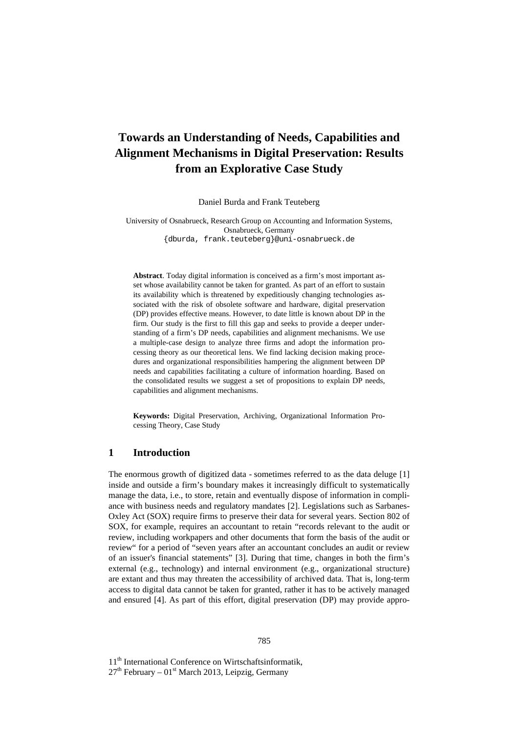# **Towards an Understanding of Needs, Capabilities and Alignment Mechanisms in Digital Preservation: Results from an Explorative Case Study**

Daniel Burda and Frank Teuteberg

University of Osnabrueck, Research Group on Accounting and Information Systems, Osnabrueck, Germany {dburda, frank.teuteberg}@uni-osnabrueck.de

**Abstract**. Today digital information is conceived as a firm's most important asset whose availability cannot be taken for granted. As part of an effort to sustain its availability which is threatened by expeditiously changing technologies associated with the risk of obsolete software and hardware, digital preservation (DP) provides effective means. However, to date little is known about DP in the firm. Our study is the first to fill this gap and seeks to provide a deeper understanding of a firm's DP needs, capabilities and alignment mechanisms. We use a multiple-case design to analyze three firms and adopt the information processing theory as our theoretical lens. We find lacking decision making procedures and organizational responsibilities hampering the alignment between DP needs and capabilities facilitating a culture of information hoarding. Based on the consolidated results we suggest a set of propositions to explain DP needs, capabilities and alignment mechanisms.

**Keywords:** Digital Preservation, Archiving, Organizational Information Processing Theory, Case Study

# **1 Introduction**

The enormous growth of digitized data - sometimes referred to as the data deluge [1] inside and outside a firm's boundary makes it increasingly difficult to systematically manage the data, i.e., to store, retain and eventually dispose of information in compliance with business needs and regulatory mandates [2]. Legislations such as Sarbanes-Oxley Act (SOX) require firms to preserve their data for several years. Section 802 of SOX, for example, requires an accountant to retain "records relevant to the audit or review, including workpapers and other documents that form the basis of the audit or review" for a period of "seven years after an accountant concludes an audit or review of an issuer's financial statements" [3]. During that time, changes in both the firm's external (e.g., technology) and internal environment (e.g., organizational structure) are extant and thus may threaten the accessibility of archived data. That is, long-term access to digital data cannot be taken for granted, rather it has to be actively managed and ensured [4]. As part of this effort, digital preservation (DP) may provide appro-

11<sup>th</sup> International Conference on Wirtschaftsinformatik,

 $27<sup>th</sup>$  February – 01<sup>st</sup> March 2013, Leipzig, Germany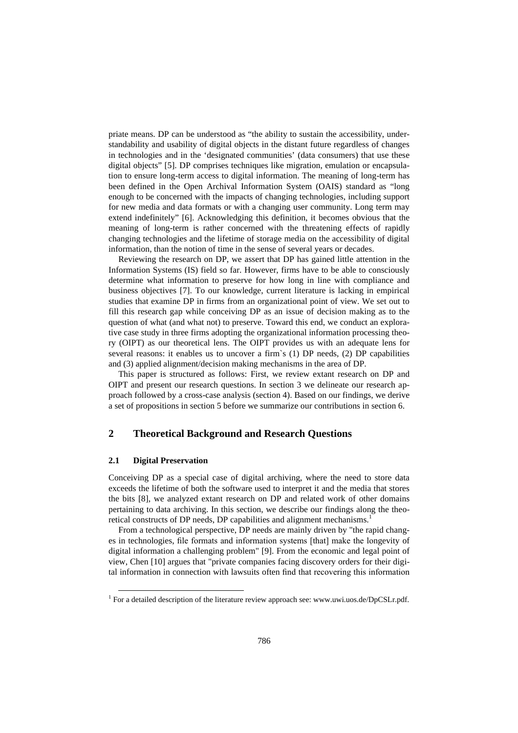priate means. DP can be understood as "the ability to sustain the accessibility, understandability and usability of digital objects in the distant future regardless of changes in technologies and in the 'designated communities' (data consumers) that use these digital objects" [5]. DP comprises techniques like migration, emulation or encapsulation to ensure long-term access to digital information. The meaning of long-term has been defined in the Open Archival Information System (OAIS) standard as "long enough to be concerned with the impacts of changing technologies, including support for new media and data formats or with a changing user community. Long term may extend indefinitely" [6]. Acknowledging this definition, it becomes obvious that the meaning of long-term is rather concerned with the threatening effects of rapidly changing technologies and the lifetime of storage media on the accessibility of digital information, than the notion of time in the sense of several years or decades.

Reviewing the research on DP, we assert that DP has gained little attention in the Information Systems (IS) field so far. However, firms have to be able to consciously determine what information to preserve for how long in line with compliance and business objectives [7]. To our knowledge, current literature is lacking in empirical studies that examine DP in firms from an organizational point of view. We set out to fill this research gap while conceiving DP as an issue of decision making as to the question of what (and what not) to preserve. Toward this end, we conduct an explorative case study in three firms adopting the organizational information processing theory (OIPT) as our theoretical lens. The OIPT provides us with an adequate lens for several reasons: it enables us to uncover a firm`s (1) DP needs, (2) DP capabilities and (3) applied alignment/decision making mechanisms in the area of DP.

This paper is structured as follows: First, we review extant research on DP and OIPT and present our research questions. In section 3 we delineate our research approach followed by a cross-case analysis (section 4). Based on our findings, we derive a set of propositions in section 5 before we summarize our contributions in section 6.

# **2 Theoretical Background and Research Questions**

#### **2.1 Digital Preservation**

-

Conceiving DP as a special case of digital archiving, where the need to store data exceeds the lifetime of both the software used to interpret it and the media that stores the bits [8], we analyzed extant research on DP and related work of other domains pertaining to data archiving. In this section, we describe our findings along the theoretical constructs of DP needs, DP capabilities and alignment mechanisms.<sup>1</sup>

From a technological perspective, DP needs are mainly driven by "the rapid changes in technologies, file formats and information systems [that] make the longevity of digital information a challenging problem" [9]. From the economic and legal point of view, Chen [10] argues that "private companies facing discovery orders for their digital information in connection with lawsuits often find that recovering this information

<sup>&</sup>lt;sup>1</sup> For a detailed description of the literature review approach see: www.uwi.uos.de/DpCSLr.pdf.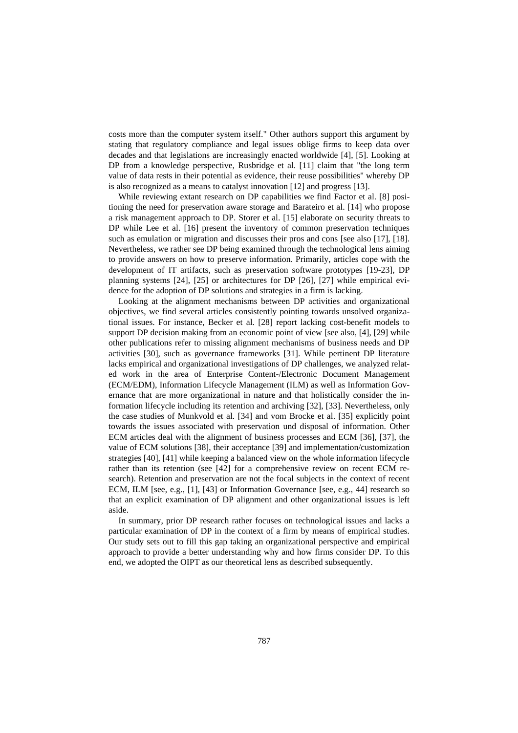costs more than the computer system itself." Other authors support this argument by stating that regulatory compliance and legal issues oblige firms to keep data over decades and that legislations are increasingly enacted worldwide [4], [5]. Looking at DP from a knowledge perspective, Rusbridge et al. [11] claim that "the long term value of data rests in their potential as evidence, their reuse possibilities" whereby DP is also recognized as a means to catalyst innovation [12] and progress [13].

While reviewing extant research on DP capabilities we find Factor et al. [8] positioning the need for preservation aware storage and Barateiro et al. [14] who propose a risk management approach to DP. Storer et al. [15] elaborate on security threats to DP while Lee et al. [16] present the inventory of common preservation techniques such as emulation or migration and discusses their pros and cons [see also [17], [18]. Nevertheless, we rather see DP being examined through the technological lens aiming to provide answers on how to preserve information. Primarily, articles cope with the development of IT artifacts, such as preservation software prototypes [19-23], DP planning systems [24], [25] or architectures for DP [26], [27] while empirical evidence for the adoption of DP solutions and strategies in a firm is lacking.

Looking at the alignment mechanisms between DP activities and organizational objectives, we find several articles consistently pointing towards unsolved organizational issues. For instance, Becker et al. [28] report lacking cost-benefit models to support DP decision making from an economic point of view [see also, [4], [29] while other publications refer to missing alignment mechanisms of business needs and DP activities [30], such as governance frameworks [31]. While pertinent DP literature lacks empirical and organizational investigations of DP challenges, we analyzed related work in the area of Enterprise Content-/Electronic Document Management (ECM/EDM), Information Lifecycle Management (ILM) as well as Information Governance that are more organizational in nature and that holistically consider the information lifecycle including its retention and archiving [32], [33]. Nevertheless, only the case studies of Munkvold et al. [34] and vom Brocke et al. [35] explicitly point towards the issues associated with preservation und disposal of information. Other ECM articles deal with the alignment of business processes and ECM [36], [37], the value of ECM solutions [38], their acceptance [39] and implementation/customization strategies [40], [41] while keeping a balanced view on the whole information lifecycle rather than its retention (see [42] for a comprehensive review on recent ECM research). Retention and preservation are not the focal subjects in the context of recent ECM, ILM [see, e.g., [1], [43] or Information Governance [see, e.g., 44] research so that an explicit examination of DP alignment and other organizational issues is left aside.

In summary, prior DP research rather focuses on technological issues and lacks a particular examination of DP in the context of a firm by means of empirical studies. Our study sets out to fill this gap taking an organizational perspective and empirical approach to provide a better understanding why and how firms consider DP. To this end, we adopted the OIPT as our theoretical lens as described subsequently.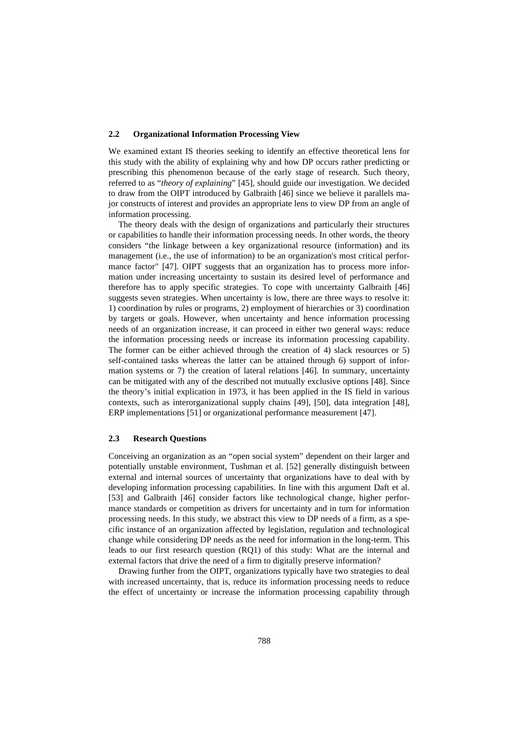#### **2.2 Organizational Information Processing View**

We examined extant IS theories seeking to identify an effective theoretical lens for this study with the ability of explaining why and how DP occurs rather predicting or prescribing this phenomenon because of the early stage of research. Such theory, referred to as "*theory of explaining*" [45], should guide our investigation. We decided to draw from the OIPT introduced by Galbraith [46] since we believe it parallels major constructs of interest and provides an appropriate lens to view DP from an angle of information processing.

The theory deals with the design of organizations and particularly their structures or capabilities to handle their information processing needs. In other words, the theory considers "the linkage between a key organizational resource (information) and its management (i.e., the use of information) to be an organization's most critical performance factor" [47]. OIPT suggests that an organization has to process more information under increasing uncertainty to sustain its desired level of performance and therefore has to apply specific strategies. To cope with uncertainty Galbraith [46] suggests seven strategies. When uncertainty is low, there are three ways to resolve it: 1) coordination by rules or programs, 2) employment of hierarchies or 3) coordination by targets or goals. However, when uncertainty and hence information processing needs of an organization increase, it can proceed in either two general ways: reduce the information processing needs or increase its information processing capability. The former can be either achieved through the creation of 4) slack resources or 5) self-contained tasks whereas the latter can be attained through 6) support of information systems or 7) the creation of lateral relations [46]. In summary, uncertainty can be mitigated with any of the described not mutually exclusive options [48]. Since the theory's initial explication in 1973, it has been applied in the IS field in various contexts, such as interorganizational supply chains [49], [50], data integration [48], ERP implementations [51] or organizational performance measurement [47].

#### **2.3 Research Questions**

Conceiving an organization as an "open social system" dependent on their larger and potentially unstable environment, Tushman et al. [52] generally distinguish between external and internal sources of uncertainty that organizations have to deal with by developing information processing capabilities. In line with this argument Daft et al. [53] and Galbraith [46] consider factors like technological change, higher performance standards or competition as drivers for uncertainty and in turn for information processing needs. In this study, we abstract this view to DP needs of a firm, as a specific instance of an organization affected by legislation, regulation and technological change while considering DP needs as the need for information in the long-term. This leads to our first research question (RQ1) of this study: What are the internal and external factors that drive the need of a firm to digitally preserve information?

Drawing further from the OIPT, organizations typically have two strategies to deal with increased uncertainty, that is, reduce its information processing needs to reduce the effect of uncertainty or increase the information processing capability through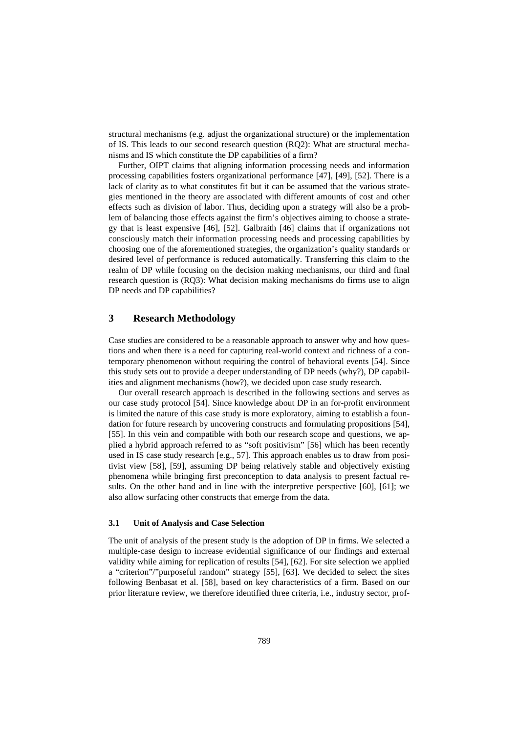structural mechanisms (e.g. adjust the organizational structure) or the implementation of IS. This leads to our second research question (RQ2): What are structural mechanisms and IS which constitute the DP capabilities of a firm?

Further, OIPT claims that aligning information processing needs and information processing capabilities fosters organizational performance [47], [49], [52]. There is a lack of clarity as to what constitutes fit but it can be assumed that the various strategies mentioned in the theory are associated with different amounts of cost and other effects such as division of labor. Thus, deciding upon a strategy will also be a problem of balancing those effects against the firm's objectives aiming to choose a strategy that is least expensive [46], [52]. Galbraith [46] claims that if organizations not consciously match their information processing needs and processing capabilities by choosing one of the aforementioned strategies, the organization's quality standards or desired level of performance is reduced automatically. Transferring this claim to the realm of DP while focusing on the decision making mechanisms, our third and final research question is (RQ3): What decision making mechanisms do firms use to align DP needs and DP capabilities?

# **3 Research Methodology**

Case studies are considered to be a reasonable approach to answer why and how questions and when there is a need for capturing real-world context and richness of a contemporary phenomenon without requiring the control of behavioral events [54]. Since this study sets out to provide a deeper understanding of DP needs (why?), DP capabilities and alignment mechanisms (how?), we decided upon case study research.

Our overall research approach is described in the following sections and serves as our case study protocol [54]. Since knowledge about DP in an for-profit environment is limited the nature of this case study is more exploratory, aiming to establish a foundation for future research by uncovering constructs and formulating propositions [54], [55]. In this vein and compatible with both our research scope and questions, we applied a hybrid approach referred to as "soft positivism" [56] which has been recently used in IS case study research [e.g., 57]. This approach enables us to draw from positivist view [58], [59], assuming DP being relatively stable and objectively existing phenomena while bringing first preconception to data analysis to present factual results. On the other hand and in line with the interpretive perspective [60], [61]; we also allow surfacing other constructs that emerge from the data.

#### **3.1 Unit of Analysis and Case Selection**

The unit of analysis of the present study is the adoption of DP in firms. We selected a multiple-case design to increase evidential significance of our findings and external validity while aiming for replication of results [54], [62]. For site selection we applied a "criterion"/"purposeful random" strategy [55], [63]. We decided to select the sites following Benbasat et al. [58], based on key characteristics of a firm. Based on our prior literature review, we therefore identified three criteria, i.e., industry sector, prof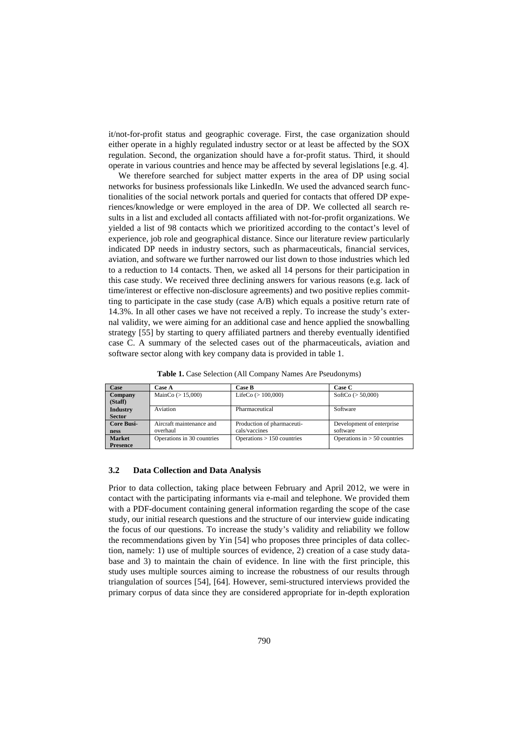it/not-for-profit status and geographic coverage. First, the case organization should either operate in a highly regulated industry sector or at least be affected by the SOX regulation. Second, the organization should have a for-profit status. Third, it should operate in various countries and hence may be affected by several legislations [e.g. 4].

We therefore searched for subject matter experts in the area of DP using social networks for business professionals like LinkedIn. We used the advanced search functionalities of the social network portals and queried for contacts that offered DP experiences/knowledge or were employed in the area of DP. We collected all search results in a list and excluded all contacts affiliated with not-for-profit organizations. We yielded a list of 98 contacts which we prioritized according to the contact's level of experience, job role and geographical distance. Since our literature review particularly indicated DP needs in industry sectors, such as pharmaceuticals, financial services, aviation, and software we further narrowed our list down to those industries which led to a reduction to 14 contacts. Then, we asked all 14 persons for their participation in this case study. We received three declining answers for various reasons (e.g. lack of time/interest or effective non-disclosure agreements) and two positive replies committing to participate in the case study (case A/B) which equals a positive return rate of 14.3%. In all other cases we have not received a reply. To increase the study's external validity, we were aiming for an additional case and hence applied the snowballing strategy [55] by starting to query affiliated partners and thereby eventually identified case C. A summary of the selected cases out of the pharmaceuticals, aviation and software sector along with key company data is provided in table 1.

**Table 1.** Case Selection (All Company Names Are Pseudonyms)

| Case                             | Case A                               | <b>Case B</b>                               | Case C                                |
|----------------------------------|--------------------------------------|---------------------------------------------|---------------------------------------|
| Company<br>(Staff)               | MainCo $(> 15,000)$                  | LifeCo $(>100,000)$                         | SoftCo $(> 50,000)$                   |
| <b>Industry</b><br><b>Sector</b> | Aviation                             | Pharmaceutical                              | Software                              |
| <b>Core Busi-</b><br>ness        | Aircraft maintenance and<br>overhaul | Production of pharmaceuti-<br>cals/vaccines | Development of enterprise<br>software |
| <b>Market</b><br><b>Presence</b> | Operations in 30 countries           | Operations $> 150$ countries                | Operations in $> 50$ countries        |

#### **3.2 Data Collection and Data Analysis**

Prior to data collection, taking place between February and April 2012, we were in contact with the participating informants via e-mail and telephone. We provided them with a PDF-document containing general information regarding the scope of the case study, our initial research questions and the structure of our interview guide indicating the focus of our questions. To increase the study's validity and reliability we follow the recommendations given by Yin [54] who proposes three principles of data collection, namely: 1) use of multiple sources of evidence, 2) creation of a case study database and 3) to maintain the chain of evidence. In line with the first principle, this study uses multiple sources aiming to increase the robustness of our results through triangulation of sources [54], [64]. However, semi-structured interviews provided the primary corpus of data since they are considered appropriate for in-depth exploration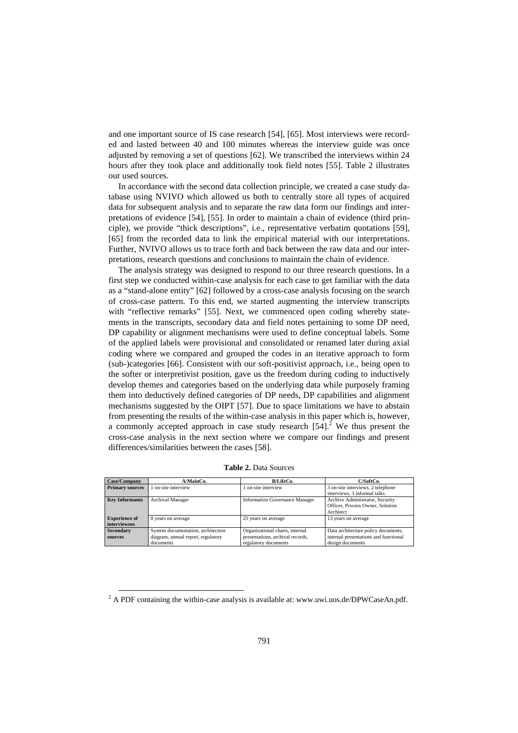and one important source of IS case research [54], [65]. Most interviews were recorded and lasted between 40 and 100 minutes whereas the interview guide was once adjusted by removing a set of questions [62]. We transcribed the interviews within 24 hours after they took place and additionally took field notes [55]. Table 2 illustrates our used sources.

In accordance with the second data collection principle, we created a case study database using NVIVO which allowed us both to centrally store all types of acquired data for subsequent analysis and to separate the raw data form our findings and interpretations of evidence [54], [55]. In order to maintain a chain of evidence (third principle), we provide "thick descriptions", i.e., representative verbatim quotations [59], [65] from the recorded data to link the empirical material with our interpretations. Further, NVIVO allows us to trace forth and back between the raw data and our interpretations, research questions and conclusions to maintain the chain of evidence.

The analysis strategy was designed to respond to our three research questions. In a first step we conducted within-case analysis for each case to get familiar with the data as a "stand-alone entity" [62] followed by a cross-case analysis focusing on the search of cross-case pattern. To this end, we started augmenting the interview transcripts with "reflective remarks" [55]. Next, we commenced open coding whereby statements in the transcripts, secondary data and field notes pertaining to some DP need, DP capability or alignment mechanisms were used to define conceptual labels. Some of the applied labels were provisional and consolidated or renamed later during axial coding where we compared and grouped the codes in an iterative approach to form (sub-)categories [66]. Consistent with our soft-positivist approach, i.e., being open to the softer or interpretivist position, gave us the freedom during coding to inductively develop themes and categories based on the underlying data while purposely framing them into deductively defined categories of DP needs, DP capabilities and alignment mechanisms suggested by the OIPT [57]. Due to space limitations we have to abstain from presenting the results of the within-case analysis in this paper which is, however, a commonly accepted approach in case study research  $[54]$ .<sup>2</sup> We thus present the cross-case analysis in the next section where we compare our findings and present differences/similarities between the cases [58].

| Case/Company           | A/MainCo.                          | <b>B/LifeCo.</b>                      | C/SoftCo.                             |
|------------------------|------------------------------------|---------------------------------------|---------------------------------------|
| <b>Primary sources</b> | on-site interview                  | on-site interview                     | 3 on-site interviews, 2 telephone     |
|                        |                                    |                                       | interviews, 3 informal talks          |
| <b>Key Informants</b>  | <b>Archival Manager</b>            | <b>Information Governance Manager</b> | Archive Administrator, Security       |
|                        |                                    |                                       | Officer, Process Owner, Solution      |
|                        |                                    |                                       | Architect                             |
| <b>Experience of</b>   | 8 years on average                 | 25 years on average                   | 13 years on average                   |
| interviewees           |                                    |                                       |                                       |
| <b>Secondary</b>       | System documentation, architecture | Organizational charts, internal       | Data architecture policy documents,   |
| sources                | diagram, annual report, regulatory | presentations, archival records,      | internal presentations and functional |
|                        | documents                          | regulatory documents                  | design documents                      |

**Table 2.** Data Sources

-

 $2$  A PDF containing the within-case analysis is available at: www.uwi.uos.de/DPWCaseAn.pdf.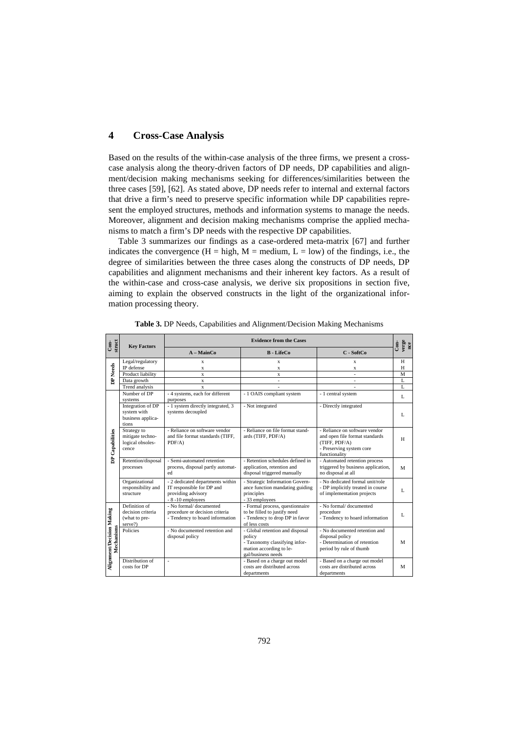# **4 Cross-Case Analysis**

Based on the results of the within-case analysis of the three firms, we present a crosscase analysis along the theory-driven factors of DP needs, DP capabilities and alignment/decision making mechanisms seeking for differences/similarities between the three cases [59], [62]. As stated above, DP needs refer to internal and external factors that drive a firm's need to preserve specific information while DP capabilities represent the employed structures, methods and information systems to manage the needs. Moreover, alignment and decision making mechanisms comprise the applied mechanisms to match a firm's DP needs with the respective DP capabilities.

Table 3 summarizes our findings as a case-ordered meta-matrix [67] and further indicates the convergence ( $H = high$ ,  $M = medium$ ,  $L = low$ ) of the findings, i.e., the degree of similarities between the three cases along the constructs of DP needs, DP capabilities and alignment mechanisms and their inherent key factors. As a result of the within-case and cross-case analysis, we derive six propositions in section five, aiming to explain the observed constructs in the light of the organizational information processing theory.

| struct<br>Сoп-                                             | <b>Key Factors</b>                                             | <b>Evidence from the Cases</b>                                                                           |                                                                                                                             |                                                                                                                               | verge<br>nce<br>Con- |
|------------------------------------------------------------|----------------------------------------------------------------|----------------------------------------------------------------------------------------------------------|-----------------------------------------------------------------------------------------------------------------------------|-------------------------------------------------------------------------------------------------------------------------------|----------------------|
|                                                            |                                                                | $A - MainCo$                                                                                             | <b>B</b> - LifeCo                                                                                                           | C - SoftCo                                                                                                                    |                      |
|                                                            | Legal/regulatory                                               | x                                                                                                        | X                                                                                                                           | x                                                                                                                             | H                    |
| DP Needs                                                   | IP defense                                                     | X                                                                                                        | $\mathbf x$                                                                                                                 | X                                                                                                                             | H                    |
|                                                            | Product liability                                              | $\mathbf{x}$                                                                                             | X                                                                                                                           | $\overline{\phantom{a}}$                                                                                                      | M                    |
|                                                            | Data growth                                                    | $\mathbf{x}$                                                                                             | $\overline{\phantom{a}}$                                                                                                    | $\blacksquare$                                                                                                                | L                    |
|                                                            | Trend analysis                                                 | X                                                                                                        |                                                                                                                             |                                                                                                                               | L                    |
| DP Capabilities<br>Alignment/Decision Making<br>Mechanisms | Number of DP<br>systems                                        | - 4 systems, each for different<br>purposes                                                              | - 1 OAIS compliant system                                                                                                   | - 1 central system                                                                                                            | L                    |
|                                                            | Integration of DP<br>system with<br>business applica-<br>tions | - 1 system directly integrated, 3<br>systems decoupled                                                   | - Not integrated                                                                                                            | - Directly integrated                                                                                                         | L                    |
|                                                            | Strategy to<br>mitigate techno-<br>logical obsoles-<br>cence   | - Reliance on software vendor<br>and file format standards (TIFF,<br>PDF/A)                              | - Reliance on file format stand-<br>ards (TIFF, PDF/A)                                                                      | - Reliance on software vendor<br>and open file format standards<br>(TIFF, PDF/A)<br>- Preserving system core<br>functionality | H                    |
|                                                            | Retention/disposal<br>processes                                | - Semi-automated retention<br>process, disposal partly automat-<br>ed                                    | - Retention schedules defined in<br>application, retention and<br>disposal triggered manually                               | - Automated retention process<br>triggered by business application,<br>no disposal at all                                     | M                    |
|                                                            | Organizational<br>responsibility and<br>structure              | - 2 dedicated departments within<br>IT responsible for DP and<br>providing advisory<br>- 8 -10 employees | - Strategic Information Govern-<br>ance function mandating guiding<br>principles<br>- 33 employees                          | - No dedicated formal unit/role<br>- DP implicitly treated in course<br>of implementation projects                            | L                    |
|                                                            | Definition of<br>decision criteria<br>(what to pre-<br>serve?) | - No formal/documented<br>procedure or decision criteria<br>- Tendency to hoard information              | - Formal process, questionnaire<br>to be filled to justify need<br>- Tendency to drop DP in favor<br>of less costs          | - No formal/ documented<br>procedure<br>- Tendency to hoard information                                                       | L                    |
|                                                            | Policies                                                       | - No documented retention and<br>disposal policy                                                         | - Global retention and disposal<br>policy<br>- Taxonomy classifying infor-<br>mation according to le-<br>gal/business needs | - No documented retention and<br>disposal policy<br>- Determination of retention<br>period by rule of thumb                   | M                    |
|                                                            | Distribution of<br>costs for DP                                | ÷                                                                                                        | - Based on a charge out model<br>costs are distributed across<br>departments                                                | - Based on a charge out model<br>costs are distributed across<br>departments                                                  | M                    |

**Table 3.** DP Needs, Capabilities and Alignment/Decision Making Mechanisms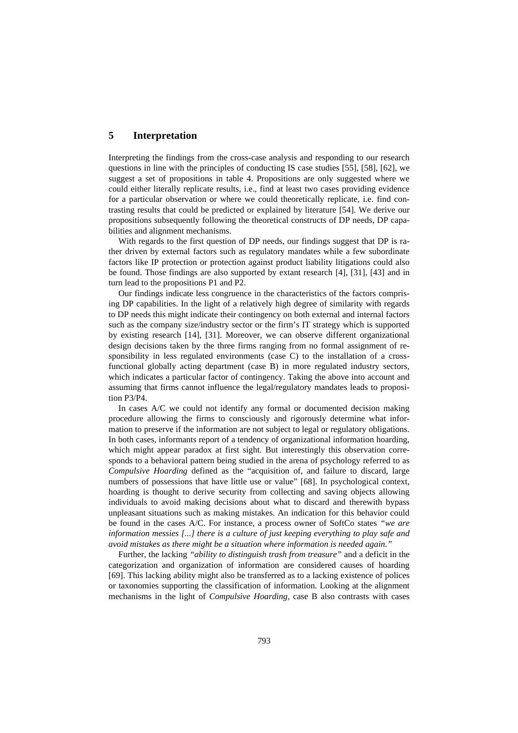# **5 Interpretation**

Interpreting the findings from the cross-case analysis and responding to our research questions in line with the principles of conducting IS case studies [55], [58], [62], we suggest a set of propositions in table 4. Propositions are only suggested where we could either literally replicate results, i.e., find at least two cases providing evidence for a particular observation or where we could theoretically replicate, i.e. find contrasting results that could be predicted or explained by literature [54]. We derive our propositions subsequently following the theoretical constructs of DP needs, DP capabilities and alignment mechanisms.

With regards to the first question of DP needs, our findings suggest that DP is rather driven by external factors such as regulatory mandates while a few subordinate factors like IP protection or protection against product liability litigations could also be found. Those findings are also supported by extant research [4], [31], [43] and in turn lead to the propositions P1 and P2.

Our findings indicate less congruence in the characteristics of the factors comprising DP capabilities. In the light of a relatively high degree of similarity with regards to DP needs this might indicate their contingency on both external and internal factors such as the company size/industry sector or the firm's IT strategy which is supported by existing research [14], [31]. Moreover, we can observe different organizational design decisions taken by the three firms ranging from no formal assignment of responsibility in less regulated environments (case C) to the installation of a crossfunctional globally acting department (case B) in more regulated industry sectors, which indicates a particular factor of contingency. Taking the above into account and assuming that firms cannot influence the legal/regulatory mandates leads to proposition P3/P4.

In cases A/C we could not identify any formal or documented decision making procedure allowing the firms to consciously and rigorously determine what information to preserve if the information are not subject to legal or regulatory obligations. In both cases, informants report of a tendency of organizational information hoarding, which might appear paradox at first sight. But interestingly this observation corresponds to a behavioral pattern being studied in the arena of psychology referred to as *Compulsive Hoarding* defined as the "acquisition of, and failure to discard, large numbers of possessions that have little use or value" [68]. In psychological context, hoarding is thought to derive security from collecting and saving objects allowing individuals to avoid making decisions about what to discard and therewith bypass unpleasant situations such as making mistakes. An indication for this behavior could be found in the cases A/C. For instance, a process owner of SoftCo states *"we are information messies [...] there is a culture of just keeping everything to play safe and avoid mistakes as there might be a situation where information is needed again."*

Further, the lacking *"ability to distinguish trash from treasure"* and a deficit in the categorization and organization of information are considered causes of hoarding [69]. This lacking ability might also be transferred as to a lacking existence of polices or taxonomies supporting the classification of information. Looking at the alignment mechanisms in the light of *Compulsive Hoarding*, case B also contrasts with cases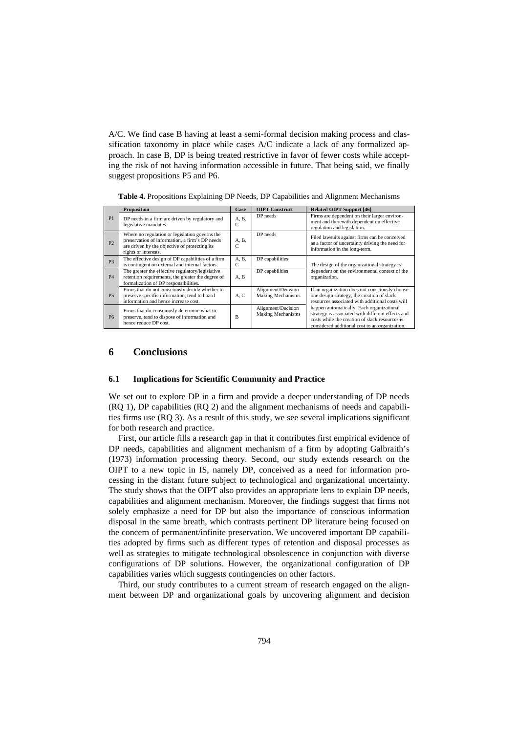A/C. We find case B having at least a semi-formal decision making process and classification taxonomy in place while cases A/C indicate a lack of any formalized approach. In case B, DP is being treated restrictive in favor of fewer costs while accepting the risk of not having information accessible in future. That being said, we finally suggest propositions P5 and P6.

|                | <b>Proposition</b>                                                                                                                                                        | Case       | <b>OIPT</b> Construct                          | <b>Related OIPT Support [46]</b>                                                                                                                                                                   |
|----------------|---------------------------------------------------------------------------------------------------------------------------------------------------------------------------|------------|------------------------------------------------|----------------------------------------------------------------------------------------------------------------------------------------------------------------------------------------------------|
| P <sub>1</sub> | DP needs in a firm are driven by regulatory and<br>legislative mandates.                                                                                                  | A, B,<br>C | DP needs                                       | Firms are dependent on their larger environ-<br>ment and therewith dependent on effective<br>regulation and legislation.                                                                           |
| P <sub>2</sub> | Where no regulation or legislation governs the<br>preservation of information, a firm's DP needs<br>are driven by the objective of protecting its<br>rights or interests. | A.B.<br>C  | DP needs                                       | Filed lawsuits against firms can be conceived<br>as a factor of uncertainty driving the need for<br>information in the long-term.                                                                  |
| P <sub>3</sub> | The effective design of DP capabilities of a firm<br>is contingent on external and internal factors.                                                                      | A.B.<br>C  | DP capabilities                                | The design of the organizational strategy is                                                                                                                                                       |
| <b>P4</b>      | The greater the effective regulatory/legislative<br>retention requirements, the greater the degree of<br>formalization of DP responsibilities.                            | A, B       | DP capabilities                                | dependent on the environmental context of the<br>organization.                                                                                                                                     |
| <b>P5</b>      | Firms that do not consciously decide whether to<br>preserve specific information, tend to hoard<br>information and hence increase cost.                                   | A, C       | Alignment/Decision<br><b>Making Mechanisms</b> | If an organization does not consciously choose<br>one design strategy, the creation of slack<br>resources associated with additional costs will                                                    |
| <b>P6</b>      | Firms that do consciously determine what to<br>preserve, tend to dispose of information and<br>hence reduce DP cost.                                                      | B          | Alignment/Decision<br><b>Making Mechanisms</b> | happen automatically. Each organizational<br>strategy is associated with different effects and<br>costs while the creation of slack resources is<br>considered additional cost to an organization. |

**Table 4.** Propositions Explaining DP Needs, DP Capabilities and Alignment Mechanisms

## **6 Conclusions**

### **6.1 Implications for Scientific Community and Practice**

We set out to explore DP in a firm and provide a deeper understanding of DP needs (RQ 1), DP capabilities (RQ 2) and the alignment mechanisms of needs and capabilities firms use (RQ 3). As a result of this study, we see several implications significant for both research and practice.

First, our article fills a research gap in that it contributes first empirical evidence of DP needs, capabilities and alignment mechanism of a firm by adopting Galbraith's (1973) information processing theory. Second, our study extends research on the OIPT to a new topic in IS, namely DP, conceived as a need for information processing in the distant future subject to technological and organizational uncertainty. The study shows that the OIPT also provides an appropriate lens to explain DP needs, capabilities and alignment mechanism. Moreover, the findings suggest that firms not solely emphasize a need for DP but also the importance of conscious information disposal in the same breath, which contrasts pertinent DP literature being focused on the concern of permanent/infinite preservation. We uncovered important DP capabilities adopted by firms such as different types of retention and disposal processes as well as strategies to mitigate technological obsolescence in conjunction with diverse configurations of DP solutions. However, the organizational configuration of DP capabilities varies which suggests contingencies on other factors.

Third, our study contributes to a current stream of research engaged on the alignment between DP and organizational goals by uncovering alignment and decision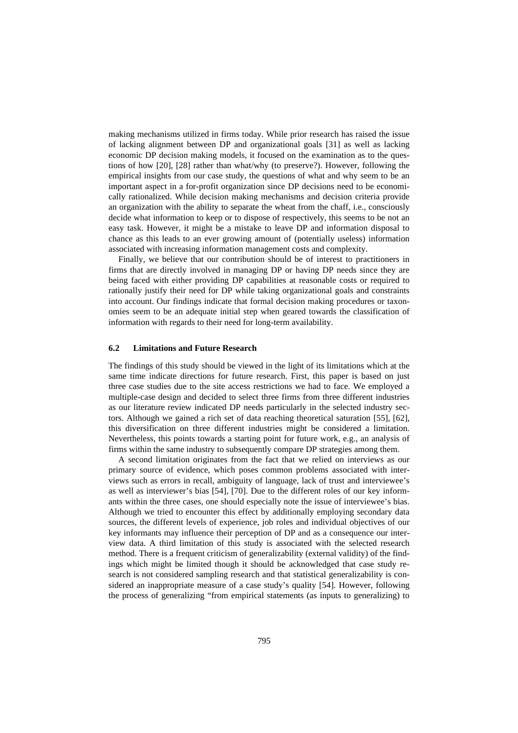making mechanisms utilized in firms today. While prior research has raised the issue of lacking alignment between DP and organizational goals [31] as well as lacking economic DP decision making models, it focused on the examination as to the questions of how [20], [28] rather than what/why (to preserve?). However, following the empirical insights from our case study, the questions of what and why seem to be an important aspect in a for-profit organization since DP decisions need to be economically rationalized. While decision making mechanisms and decision criteria provide an organization with the ability to separate the wheat from the chaff, i.e., consciously decide what information to keep or to dispose of respectively, this seems to be not an easy task. However, it might be a mistake to leave DP and information disposal to chance as this leads to an ever growing amount of (potentially useless) information associated with increasing information management costs and complexity.

Finally, we believe that our contribution should be of interest to practitioners in firms that are directly involved in managing DP or having DP needs since they are being faced with either providing DP capabilities at reasonable costs or required to rationally justify their need for DP while taking organizational goals and constraints into account. Our findings indicate that formal decision making procedures or taxonomies seem to be an adequate initial step when geared towards the classification of information with regards to their need for long-term availability.

#### **6.2 Limitations and Future Research**

The findings of this study should be viewed in the light of its limitations which at the same time indicate directions for future research. First, this paper is based on just three case studies due to the site access restrictions we had to face. We employed a multiple-case design and decided to select three firms from three different industries as our literature review indicated DP needs particularly in the selected industry sectors. Although we gained a rich set of data reaching theoretical saturation [55], [62], this diversification on three different industries might be considered a limitation. Nevertheless, this points towards a starting point for future work, e.g., an analysis of firms within the same industry to subsequently compare DP strategies among them.

A second limitation originates from the fact that we relied on interviews as our primary source of evidence, which poses common problems associated with interviews such as errors in recall, ambiguity of language, lack of trust and interviewee's as well as interviewer's bias [54], [70]. Due to the different roles of our key informants within the three cases, one should especially note the issue of interviewee's bias. Although we tried to encounter this effect by additionally employing secondary data sources, the different levels of experience, job roles and individual objectives of our key informants may influence their perception of DP and as a consequence our interview data. A third limitation of this study is associated with the selected research method. There is a frequent criticism of generalizability (external validity) of the findings which might be limited though it should be acknowledged that case study research is not considered sampling research and that statistical generalizability is considered an inappropriate measure of a case study's quality [54]. However, following the process of generalizing "from empirical statements (as inputs to generalizing) to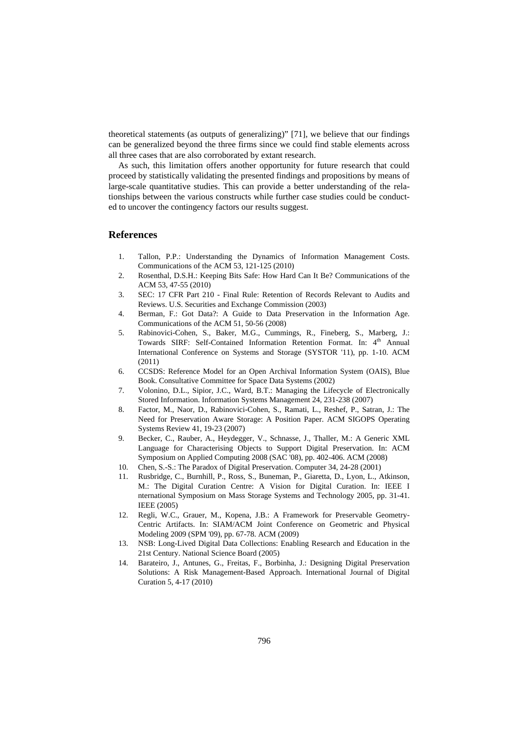theoretical statements (as outputs of generalizing)" [71], we believe that our findings can be generalized beyond the three firms since we could find stable elements across all three cases that are also corroborated by extant research.

As such, this limitation offers another opportunity for future research that could proceed by statistically validating the presented findings and propositions by means of large-scale quantitative studies. This can provide a better understanding of the relationships between the various constructs while further case studies could be conducted to uncover the contingency factors our results suggest.

# **References**

- 1. Tallon, P.P.: Understanding the Dynamics of Information Management Costs. Communications of the ACM 53, 121-125 (2010)
- 2. Rosenthal, D.S.H.: Keeping Bits Safe: How Hard Can It Be? Communications of the ACM 53, 47-55 (2010)
- 3. SEC: 17 CFR Part 210 Final Rule: Retention of Records Relevant to Audits and Reviews. U.S. Securities and Exchange Commission (2003)
- 4. Berman, F.: Got Data?: A Guide to Data Preservation in the Information Age. Communications of the ACM 51, 50-56 (2008)
- 5. Rabinovici-Cohen, S., Baker, M.G., Cummings, R., Fineberg, S., Marberg, J.: Towards SIRF: Self-Contained Information Retention Format. In: 4<sup>th</sup> Annual International Conference on Systems and Storage (SYSTOR '11), pp. 1-10. ACM (2011)
- 6. CCSDS: Reference Model for an Open Archival Information System (OAIS), Blue Book. Consultative Committee for Space Data Systems (2002)
- 7. Volonino, D.L., Sipior, J.C., Ward, B.T.: Managing the Lifecycle of Electronically Stored Information. Information Systems Management 24, 231-238 (2007)
- 8. Factor, M., Naor, D., Rabinovici-Cohen, S., Ramati, L., Reshef, P., Satran, J.: The Need for Preservation Aware Storage: A Position Paper. ACM SIGOPS Operating Systems Review 41, 19-23 (2007)
- 9. Becker, C., Rauber, A., Heydegger, V., Schnasse, J., Thaller, M.: A Generic XML Language for Characterising Objects to Support Digital Preservation. In: ACM Symposium on Applied Computing 2008 (SAC '08), pp. 402-406. ACM (2008)
- 10. Chen, S.-S.: The Paradox of Digital Preservation. Computer 34, 24-28 (2001)
- 11. Rusbridge, C., Burnhill, P., Ross, S., Buneman, P., Giaretta, D., Lyon, L., Atkinson, M.: The Digital Curation Centre: A Vision for Digital Curation. In: IEEE I nternational Symposium on Mass Storage Systems and Technology 2005, pp. 31-41. IEEE (2005)
- 12. Regli, W.C., Grauer, M., Kopena, J.B.: A Framework for Preservable Geometry-Centric Artifacts. In: SIAM/ACM Joint Conference on Geometric and Physical Modeling 2009 (SPM '09), pp. 67-78. ACM (2009)
- 13. NSB: Long-Lived Digital Data Collections: Enabling Research and Education in the 21st Century. National Science Board (2005)
- 14. Barateiro, J., Antunes, G., Freitas, F., Borbinha, J.: Designing Digital Preservation Solutions: A Risk Management-Based Approach. International Journal of Digital Curation 5, 4-17 (2010)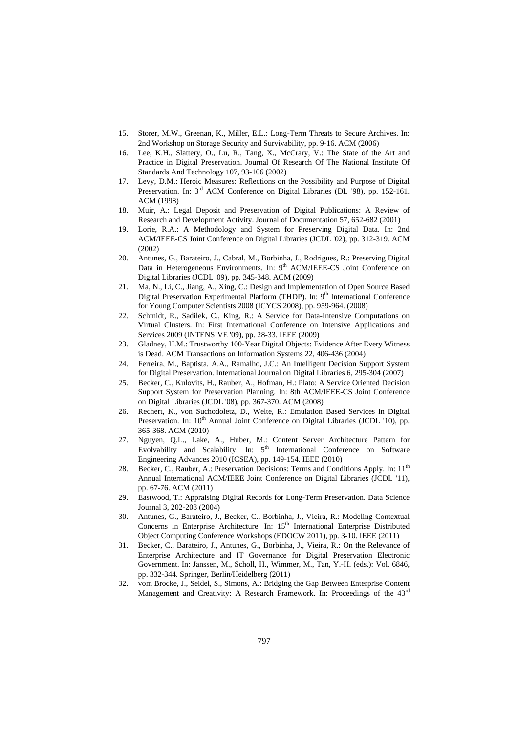- 15. Storer, M.W., Greenan, K., Miller, E.L.: Long-Term Threats to Secure Archives. In: 2nd Workshop on Storage Security and Survivability, pp. 9-16. ACM (2006)
- 16. Lee, K.H., Slattery, O., Lu, R., Tang, X., McCrary, V.: The State of the Art and Practice in Digital Preservation. Journal Of Research Of The National Institute Of Standards And Technology 107, 93-106 (2002)
- 17. Levy, D.M.: Heroic Measures: Reflections on the Possibility and Purpose of Digital Preservation. In: 3<sup>rd</sup> ACM Conference on Digital Libraries (DL '98), pp. 152-161. ACM (1998)
- 18. Muir, A.: Legal Deposit and Preservation of Digital Publications: A Review of Research and Development Activity. Journal of Documentation 57, 652-682 (2001)
- 19. Lorie, R.A.: A Methodology and System for Preserving Digital Data. In: 2nd ACM/IEEE-CS Joint Conference on Digital Libraries (JCDL '02), pp. 312-319. ACM (2002)
- 20. Antunes, G., Barateiro, J., Cabral, M., Borbinha, J., Rodrigues, R.: Preserving Digital Data in Heterogeneous Environments. In: 9<sup>th</sup> ACM/IEEE-CS Joint Conference on Digital Libraries (JCDL '09), pp. 345-348. ACM (2009)
- 21. Ma, N., Li, C., Jiang, A., Xing, C.: Design and Implementation of Open Source Based Digital Preservation Experimental Platform (THDP). In: 9<sup>th</sup> International Conference for Young Computer Scientists 2008 (ICYCS 2008), pp. 959-964. (2008)
- 22. Schmidt, R., Sadilek, C., King, R.: A Service for Data-Intensive Computations on Virtual Clusters. In: First International Conference on Intensive Applications and Services 2009 (INTENSIVE '09), pp. 28-33. IEEE (2009)
- 23. Gladney, H.M.: Trustworthy 100-Year Digital Objects: Evidence After Every Witness is Dead. ACM Transactions on Information Systems 22, 406-436 (2004)
- 24. Ferreira, M., Baptista, A.A., Ramalho, J.C.: An Intelligent Decision Support System for Digital Preservation. International Journal on Digital Libraries 6, 295-304 (2007)
- 25. Becker, C., Kulovits, H., Rauber, A., Hofman, H.: Plato: A Service Oriented Decision Support System for Preservation Planning. In: 8th ACM/IEEE-CS Joint Conference on Digital Libraries (JCDL '08), pp. 367-370. ACM (2008)
- 26. Rechert, K., von Suchodoletz, D., Welte, R.: Emulation Based Services in Digital Preservation. In: 10<sup>th</sup> Annual Joint Conference on Digital Libraries (JCDL '10), pp. 365-368. ACM (2010)
- 27. Nguyen, Q.L., Lake, A., Huber, M.: Content Server Architecture Pattern for Evolvability and Scalability. In: 5<sup>th</sup> International Conference on Software Engineering Advances 2010 (ICSEA), pp. 149-154. IEEE (2010)
- 28. Becker, C., Rauber, A.: Preservation Decisions: Terms and Conditions Apply. In: 11<sup>th</sup> Annual International ACM/IEEE Joint Conference on Digital Libraries (JCDL '11), pp. 67-76. ACM (2011)
- 29. Eastwood, T.: Appraising Digital Records for Long-Term Preservation. Data Science Journal 3, 202-208 (2004)
- 30. Antunes, G., Barateiro, J., Becker, C., Borbinha, J., Vieira, R.: Modeling Contextual Concerns in Enterprise Architecture. In: 15<sup>th</sup> International Enterprise Distributed Object Computing Conference Workshops (EDOCW 2011), pp. 3-10. IEEE (2011)
- 31. Becker, C., Barateiro, J., Antunes, G., Borbinha, J., Vieira, R.: On the Relevance of Enterprise Architecture and IT Governance for Digital Preservation Electronic Government. In: Janssen, M., Scholl, H., Wimmer, M., Tan, Y.-H. (eds.): Vol. 6846, pp. 332-344. Springer, Berlin/Heidelberg (2011)
- 32. vom Brocke, J., Seidel, S., Simons, A.: Bridging the Gap Between Enterprise Content Management and Creativity: A Research Framework. In: Proceedings of the 43<sup>rd</sup>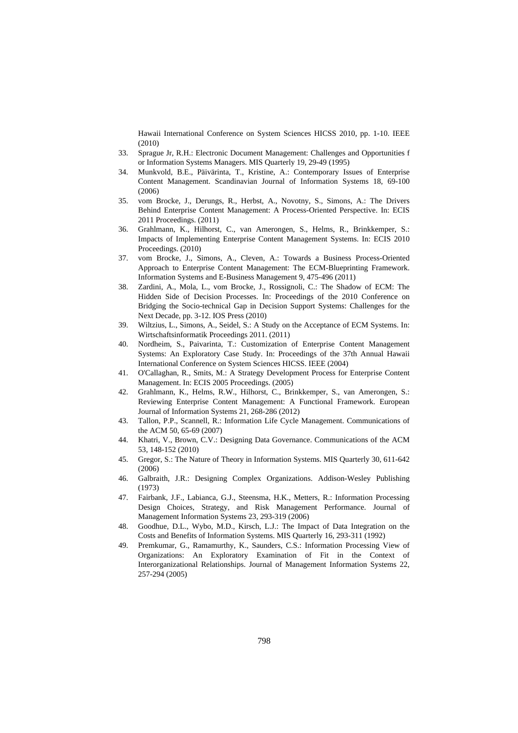Hawaii International Conference on System Sciences HICSS 2010, pp. 1-10. IEEE (2010)

- 33. Sprague Jr, R.H.: Electronic Document Management: Challenges and Opportunities f or Information Systems Managers. MIS Quarterly 19, 29-49 (1995)
- 34. Munkvold, B.E., Päivärinta, T., Kristine, A.: Contemporary Issues of Enterprise Content Management. Scandinavian Journal of Information Systems 18, 69-100 (2006)
- 35. vom Brocke, J., Derungs, R., Herbst, A., Novotny, S., Simons, A.: The Drivers Behind Enterprise Content Management: A Process-Oriented Perspective. In: ECIS 2011 Proceedings. (2011)
- 36. Grahlmann, K., Hilhorst, C., van Amerongen, S., Helms, R., Brinkkemper, S.: Impacts of Implementing Enterprise Content Management Systems. In: ECIS 2010 Proceedings. (2010)
- 37. vom Brocke, J., Simons, A., Cleven, A.: Towards a Business Process-Oriented Approach to Enterprise Content Management: The ECM-Blueprinting Framework. Information Systems and E-Business Management 9, 475-496 (2011)
- 38. Zardini, A., Mola, L., vom Brocke, J., Rossignoli, C.: The Shadow of ECM: The Hidden Side of Decision Processes. In: Proceedings of the 2010 Conference on Bridging the Socio-technical Gap in Decision Support Systems: Challenges for the Next Decade, pp. 3-12. IOS Press (2010)
- 39. Wiltzius, L., Simons, A., Seidel, S.: A Study on the Acceptance of ECM Systems. In: Wirtschaftsinformatik Proceedings 2011. (2011)
- 40. Nordheim, S., Paivarinta, T.: Customization of Enterprise Content Management Systems: An Exploratory Case Study. In: Proceedings of the 37th Annual Hawaii International Conference on System Sciences HICSS. IEEE (2004)
- 41. O'Callaghan, R., Smits, M.: A Strategy Development Process for Enterprise Content Management. In: ECIS 2005 Proceedings. (2005)
- 42. Grahlmann, K., Helms, R.W., Hilhorst, C., Brinkkemper, S., van Amerongen, S.: Reviewing Enterprise Content Management: A Functional Framework. European Journal of Information Systems 21, 268-286 (2012)
- 43. Tallon, P.P., Scannell, R.: Information Life Cycle Management. Communications of the ACM 50, 65-69 (2007)
- 44. Khatri, V., Brown, C.V.: Designing Data Governance. Communications of the ACM 53, 148-152 (2010)
- 45. Gregor, S.: The Nature of Theory in Information Systems. MIS Quarterly 30, 611-642 (2006)
- 46. Galbraith, J.R.: Designing Complex Organizations. Addison-Wesley Publishing (1973)
- 47. Fairbank, J.F., Labianca, G.J., Steensma, H.K., Metters, R.: Information Processing Design Choices, Strategy, and Risk Management Performance. Journal of Management Information Systems 23, 293-319 (2006)
- 48. Goodhue, D.L., Wybo, M.D., Kirsch, L.J.: The Impact of Data Integration on the Costs and Benefits of Information Systems. MIS Quarterly 16, 293-311 (1992)
- 49. Premkumar, G., Ramamurthy, K., Saunders, C.S.: Information Processing View of Organizations: An Exploratory Examination of Fit in the Context of Interorganizational Relationships. Journal of Management Information Systems 22, 257-294 (2005)